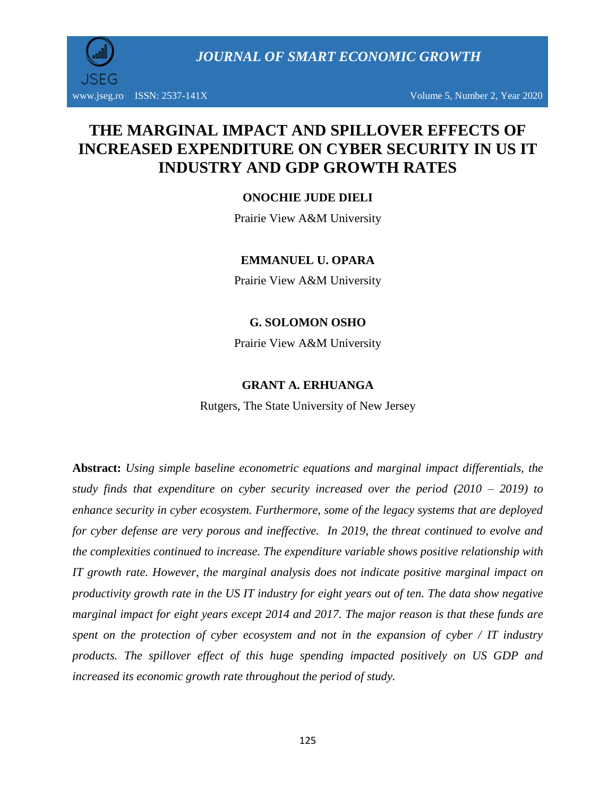*JOURNAL OF SMART ECONOMIC GROWTH*

www.jseg.ro ISSN:  $2537-141X$  Volume 5, Number 2, Year 2020

# **THE MARGINAL IMPACT AND SPILLOVER EFFECTS OF INCREASED EXPENDITURE ON CYBER SECURITY IN US IT INDUSTRY AND GDP GROWTH RATES**

# **ONOCHIE JUDE DIELI**

Prairie View A&M University

#### **EMMANUEL U. OPARA**

Prairie View A&M University

#### **G. SOLOMON OSHO**

Prairie View A&M University

#### **GRANT A. ERHUANGA**

Rutgers, The State University of New Jersey

**Abstract:** *Using simple baseline econometric equations and marginal impact differentials, the study finds that expenditure on cyber security increased over the period (2010 – 2019) to enhance security in cyber ecosystem. Furthermore, some of the legacy systems that are deployed for cyber defense are very porous and ineffective. In 2019, the threat continued to evolve and the complexities continued to increase. The expenditure variable shows positive relationship with IT growth rate. However, the marginal analysis does not indicate positive marginal impact on productivity growth rate in the US IT industry for eight years out of ten. The data show negative marginal impact for eight years except 2014 and 2017. The major reason is that these funds are spent on the protection of cyber ecosystem and not in the expansion of cyber / IT industry products. The spillover effect of this huge spending impacted positively on US GDP and increased its economic growth rate throughout the period of study.*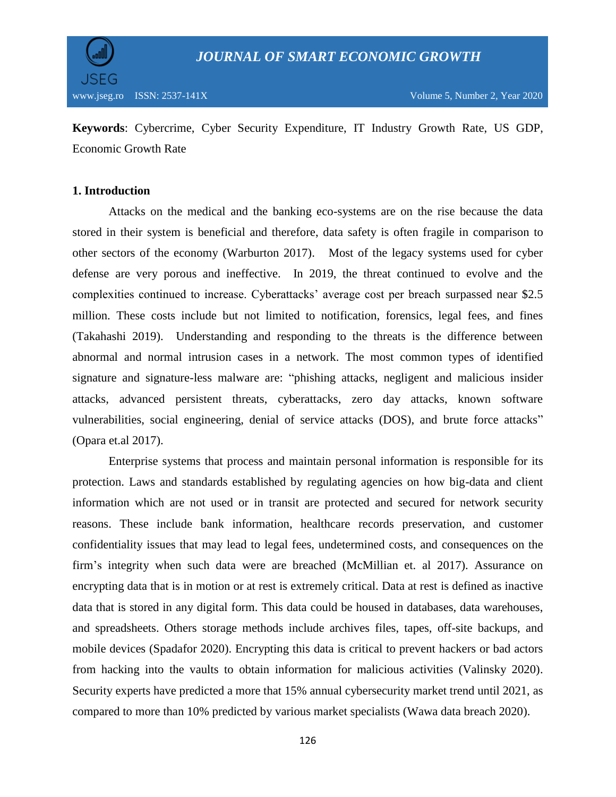

**Keywords**: Cybercrime, Cyber Security Expenditure, IT Industry Growth Rate, US GDP, Economic Growth Rate

#### **1. Introduction**

Attacks on the medical and the banking eco-systems are on the rise because the data stored in their system is beneficial and therefore, data safety is often fragile in comparison to other sectors of the economy (Warburton 2017). Most of the legacy systems used for cyber defense are very porous and ineffective. In 2019, the threat continued to evolve and the complexities continued to increase. Cyberattacks' average cost per breach surpassed near \$2.5 million. These costs include but not limited to notification, forensics, legal fees, and fines (Takahashi 2019). Understanding and responding to the threats is the difference between abnormal and normal intrusion cases in a network. The most common types of identified signature and signature-less malware are: "phishing attacks, negligent and malicious insider attacks, advanced persistent threats, cyberattacks, zero day attacks, known software vulnerabilities, social engineering, denial of service attacks (DOS), and brute force attacks" (Opara et.al 2017).

Enterprise systems that process and maintain personal information is responsible for its protection. Laws and standards established by regulating agencies on how big-data and client information which are not used or in transit are protected and secured for network security reasons. These include bank information, healthcare records preservation, and customer confidentiality issues that may lead to legal fees, undetermined costs, and consequences on the firm's integrity when such data were are breached (McMillian et. al 2017). Assurance on encrypting data that is in motion or at rest is extremely critical. Data at rest is defined as inactive data that is stored in any digital form. This data could be housed in databases, data warehouses, and spreadsheets. Others storage methods include archives files, tapes, off-site backups, and mobile devices (Spadafor 2020). Encrypting this data is critical to prevent hackers or bad actors from hacking into the vaults to obtain information for malicious activities (Valinsky 2020). Security experts have predicted a more that 15% annual cybersecurity market trend until 2021, as compared to more than 10% predicted by various market specialists (Wawa data breach 2020).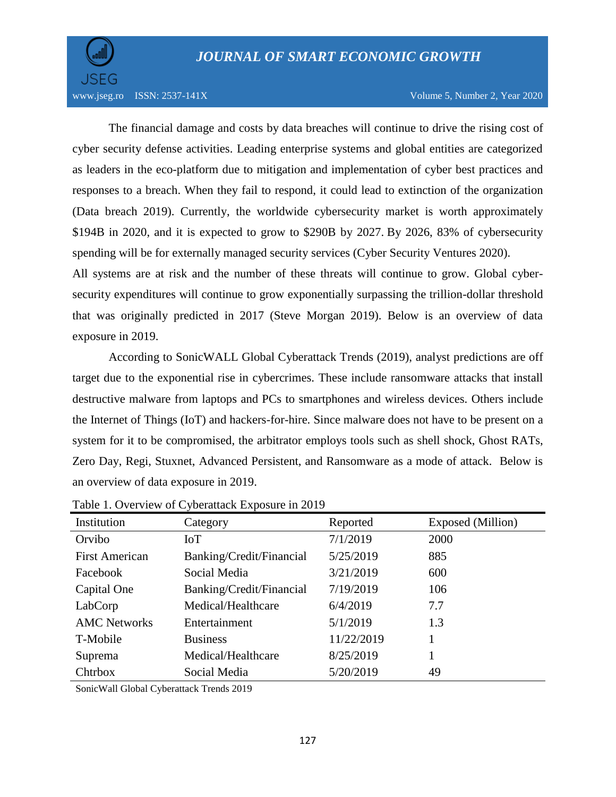

www.jseg.ro ISSN:  $2537-141X$  Volume 5, Number 2, Year 2020

The financial damage and costs by data breaches will continue to drive the rising cost of cyber security defense activities. Leading enterprise systems and global entities are categorized as leaders in the eco-platform due to mitigation and implementation of cyber best practices and responses to a breach. When they fail to respond, it could lead to extinction of the organization (Data breach 2019). Currently, the worldwide cybersecurity market is worth approximately \$194B in 2020, and it is expected to grow to \$290B by 2027. By 2026, 83% of cybersecurity spending will be for externally managed security services (Cyber Security Ventures 2020).

All systems are at risk and the number of these threats will continue to grow. Global cybersecurity expenditures will continue to grow exponentially surpassing the trillion-dollar threshold that was originally predicted in 2017 (Steve Morgan 2019). Below is an overview of data exposure in 2019.

According to SonicWALL Global Cyberattack Trends (2019), analyst predictions are off target due to the exponential rise in cybercrimes. These include ransomware attacks that install destructive malware from laptops and PCs to smartphones and wireless devices. Others include the Internet of Things (IoT) and hackers-for-hire. Since malware does not have to be present on a system for it to be compromised, the arbitrator employs tools such as shell shock, Ghost RATs, Zero Day, Regi, Stuxnet, Advanced Persistent, and Ransomware as a mode of attack. Below is an overview of data exposure in 2019.

| Institution           | Category                 | Reported   | Exposed (Million) |
|-----------------------|--------------------------|------------|-------------------|
| Orvibo                | IoT                      | 7/1/2019   | 2000              |
| <b>First American</b> | Banking/Credit/Financial | 5/25/2019  | 885               |
| Facebook              | Social Media             | 3/21/2019  | 600               |
| Capital One           | Banking/Credit/Financial | 7/19/2019  | 106               |
| LabCorp               | Medical/Healthcare       | 6/4/2019   | 7.7               |
| <b>AMC Networks</b>   | Entertainment            | 5/1/2019   | 1.3               |
| T-Mobile              | <b>Business</b>          | 11/22/2019 |                   |
| Suprema               | Medical/Healthcare       | 8/25/2019  |                   |
| Chtrbox               | Social Media             | 5/20/2019  | 49                |

Table 1. Overview of Cyberattack Exposure in 2019

SonicWall Global Cyberattack Trends 2019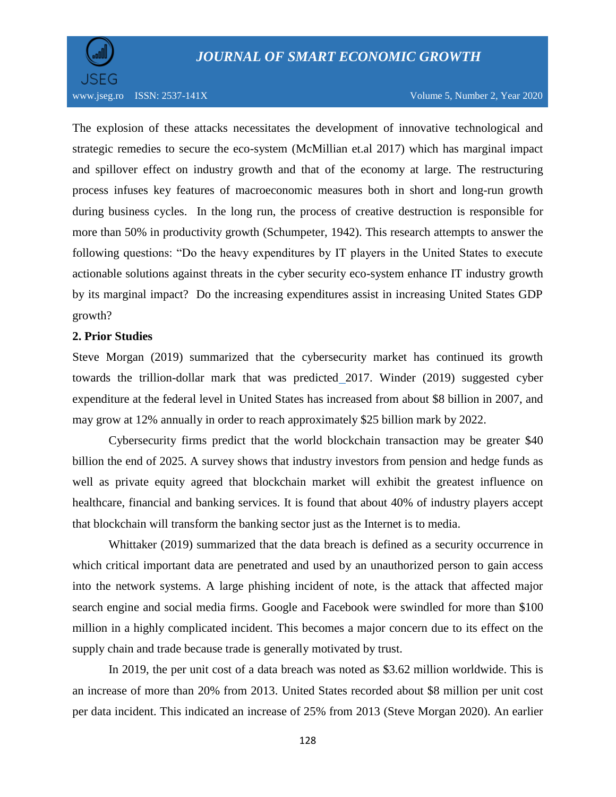

www.jseg.ro ISSN: 2537-141X Volume 5, Number 2, Year 2020

The explosion of these attacks necessitates the development of innovative technological and strategic remedies to secure the eco-system (McMillian et.al 2017) which has marginal impact and spillover effect on industry growth and that of the economy at large. The restructuring process infuses key features of macroeconomic measures both in short and long-run growth during business cycles. In the long run, the process of creative destruction is responsible for more than 50% in productivity growth (Schumpeter, 1942). This research attempts to answer the following questions: "Do the heavy expenditures by IT players in the United States to execute actionable solutions against threats in the cyber security eco-system enhance IT industry growth by its marginal impact? Do the increasing expenditures assist in increasing United States GDP growth?

#### **2. Prior Studies**

Steve Morgan (2019) summarized that the cybersecurity market has continued its growth towards the trillion-dollar mark that was predicted 2017. Winder (2019) suggested cyber expenditure at the federal level in United States has increased from about \$8 billion in 2007, and may grow at 12% annually in order to reach approximately \$25 billion mark by 2022.

Cybersecurity firms predict that the world blockchain transaction may be greater \$40 billion the end of 2025. A survey shows that industry investors from pension and hedge funds as well as private equity agreed that blockchain market will exhibit the greatest influence on healthcare, financial and banking services. It is found that about 40% of industry players accept that blockchain will transform the banking sector just as the Internet is to media.

Whittaker (2019) summarized that the data breach is defined as a security occurrence in which critical important data are penetrated and used by an unauthorized person to gain access into the network systems. A large phishing incident of note, is the attack that affected major search engine and social media firms. Google and Facebook were swindled for more than \$100 million in a highly complicated incident. This becomes a major concern due to its effect on the supply chain and trade because trade is generally motivated by trust.

In 2019, the per unit cost of a data breach was noted as \$3.62 million worldwide. This is an increase of more than 20% from 2013. United States recorded about \$8 million per unit cost per data incident. This indicated an increase of 25% from 2013 (Steve Morgan 2020). An earlier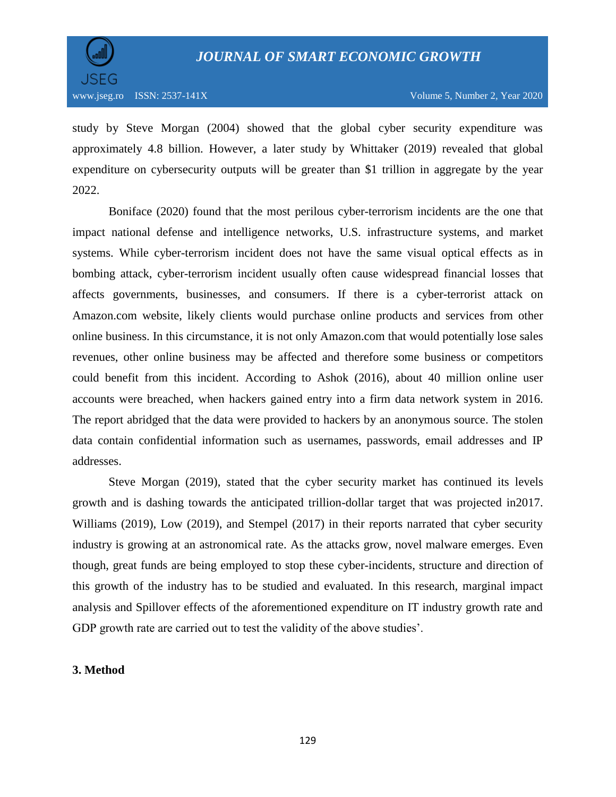

study by Steve Morgan (2004) showed that the global cyber security expenditure was approximately 4.8 billion. However, a later study by Whittaker (2019) revealed that global expenditure on cybersecurity outputs will be greater than \$1 trillion in aggregate by the year 2022.

Boniface (2020) found that the most perilous cyber-terrorism incidents are the one that impact national defense and intelligence networks, U.S. infrastructure systems, and market systems. While cyber-terrorism incident does not have the same visual optical effects as in bombing attack, cyber-terrorism incident usually often cause widespread financial losses that affects governments, businesses, and consumers. If there is a cyber-terrorist attack on Amazon.com website, likely clients would purchase online products and services from other online business. In this circumstance, it is not only Amazon.com that would potentially lose sales revenues, other online business may be affected and therefore some business or competitors could benefit from this incident. According to Ashok (2016), about 40 million online user accounts were breached, when hackers gained entry into a firm data network system in 2016. The report abridged that the data were provided to hackers by an anonymous source. The stolen data contain confidential information such as usernames, passwords, email addresses and IP addresses.

Steve Morgan (2019), stated that the cyber security market has continued its levels growth and is dashing towards the anticipated trillion-dollar target that was projected in2017. Williams (2019), Low (2019), and Stempel (2017) in their reports narrated that cyber security industry is growing at an astronomical rate. As the attacks grow, novel malware emerges. Even though, great funds are being employed to stop these cyber-incidents, structure and direction of this growth of the industry has to be studied and evaluated. In this research, marginal impact analysis and Spillover effects of the aforementioned expenditure on IT industry growth rate and GDP growth rate are carried out to test the validity of the above studies'.

#### **3. Method**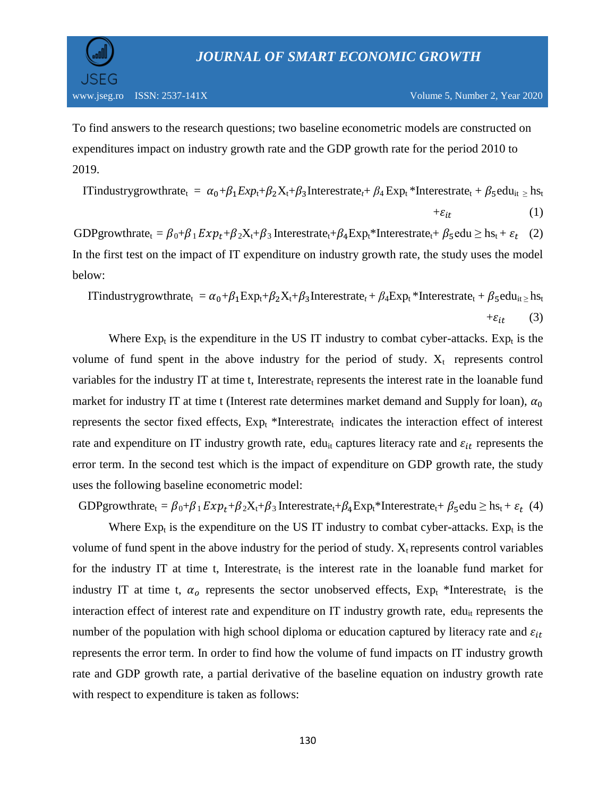

To find answers to the research questions; two baseline econometric models are constructed on expenditures impact on industry growth rate and the GDP growth rate for the period 2010 to 2019.

ITindustrygrowthrate<sub>t</sub> =  $\alpha_0 + \beta_1 Exp_t + \beta_2 X_t + \beta_3$ Interestrate<sub>t</sub> +  $\beta_4 Exp_t *$ Interestrate<sub>t</sub> +  $\beta_5$ edu<sub>it ≥</sub> hs<sub>t</sub>  $+\varepsilon_{it}$  (1)

GDPgrowthrate<sub>t</sub> =  $\beta_0 + \beta_1 E x p_t + \beta_2 X_t + \beta_3$  Interestrate<sub>t</sub>+ $\beta_4 E x p_t^*$ Interestrate<sub>t</sub>+  $\beta_5$ edu  $\geq$  hs<sub>t</sub> +  $\varepsilon_t$  (2) In the first test on the impact of IT expenditure on industry growth rate, the study uses the model below:

ITindustrygrowthrate<sub>t</sub> =  $\alpha_0 + \beta_1 \text{Exp}_t + \beta_2 \text{X}_t + \beta_3 \text{Interestrate}_t + \beta_4 \text{Exp}_t * \text{Interestrate}_t + \beta_5 \text{edu}_{it \ge} \text{hs}_t$  $+\varepsilon_{it}$  (3)

Where  $Exp_t$  is the expenditure in the US IT industry to combat cyber-attacks.  $Exp_t$  is the volume of fund spent in the above industry for the period of study.  $X_t$  represents control variables for the industry IT at time t, Interestrate<sub>t</sub> represents the interest rate in the loanable fund market for industry IT at time t (Interest rate determines market demand and Supply for loan),  $\alpha_0$ represents the sector fixed effects,  $Exp_t$  \*Interestrate<sub>t</sub> indicates the interaction effect of interest rate and expenditure on IT industry growth rate, edu<sub>it</sub> captures literacy rate and  $\varepsilon_{it}$  represents the error term. In the second test which is the impact of expenditure on GDP growth rate, the study uses the following baseline econometric model:

GDPgrowthrate<sub>t</sub> =  $\beta_0+\beta_1 Exp_t + \beta_2 X_t + \beta_3$  Interestrate<sub>t</sub>+ $\beta_4 Exp_t^*$ Interestrate<sub>t</sub>+  $\beta_5$ edu  $\geq$  hs<sub>t</sub> +  $\varepsilon_t$  (4)

Where  $Exp_t$  is the expenditure on the US IT industry to combat cyber-attacks.  $Exp_t$  is the volume of fund spent in the above industry for the period of study.  $X_t$  represents control variables for the industry IT at time t, Interestrate<sub>t</sub> is the interest rate in the loanable fund market for industry IT at time t,  $\alpha_o$  represents the sector unobserved effects,  $Exp_t$  \*Interestrate<sub>t</sub> is the interaction effect of interest rate and expenditure on IT industry growth rate,  $edu_{it}$  represents the number of the population with high school diploma or education captured by literacy rate and  $\varepsilon_{it}$ represents the error term. In order to find how the volume of fund impacts on IT industry growth rate and GDP growth rate, a partial derivative of the baseline equation on industry growth rate with respect to expenditure is taken as follows: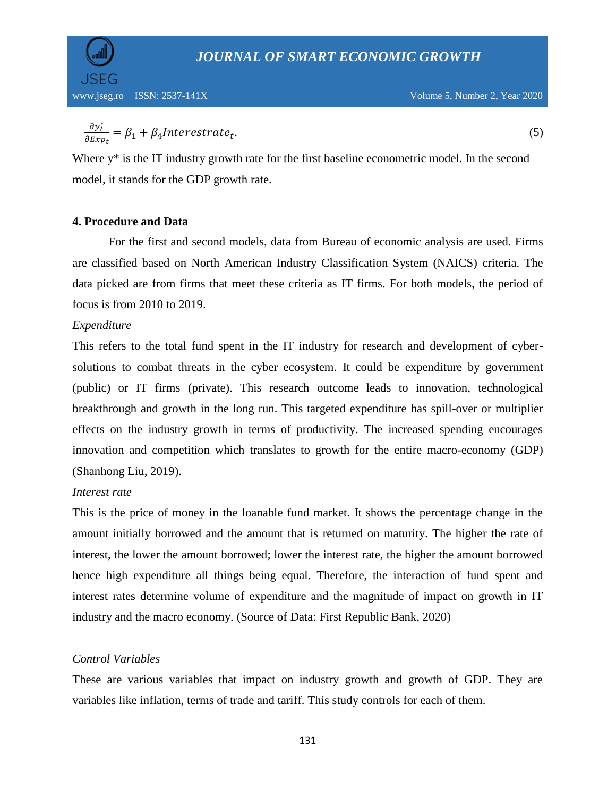

$$
\frac{\partial y_t^*}{\partial Exp_t} = \beta_1 + \beta_4 Interestrate_t.
$$
\n(5)

Where y<sup>\*</sup> is the IT industry growth rate for the first baseline econometric model. In the second model, it stands for the GDP growth rate.

# **4. Procedure and Data**

For the first and second models, data from Bureau of economic analysis are used. Firms are classified based on North American Industry Classification System (NAICS) criteria. The data picked are from firms that meet these criteria as IT firms. For both models, the period of focus is from 2010 to 2019.

#### *Expenditure*

This refers to the total fund spent in the IT industry for research and development of cybersolutions to combat threats in the cyber ecosystem. It could be expenditure by government (public) or IT firms (private). This research outcome leads to innovation, technological breakthrough and growth in the long run. This targeted expenditure has spill-over or multiplier effects on the industry growth in terms of productivity. The increased spending encourages innovation and competition which translates to growth for the entire macro-economy (GDP) (Shanhong Liu, 2019).

# *Interest rate*

This is the price of money in the loanable fund market. It shows the percentage change in the amount initially borrowed and the amount that is returned on maturity. The higher the rate of interest, the lower the amount borrowed; lower the interest rate, the higher the amount borrowed hence high expenditure all things being equal. Therefore, the interaction of fund spent and interest rates determine volume of expenditure and the magnitude of impact on growth in IT industry and the macro economy. (Source of Data: First Republic Bank, 2020)

# *Control Variables*

These are various variables that impact on industry growth and growth of GDP. They are variables like inflation, terms of trade and tariff. This study controls for each of them.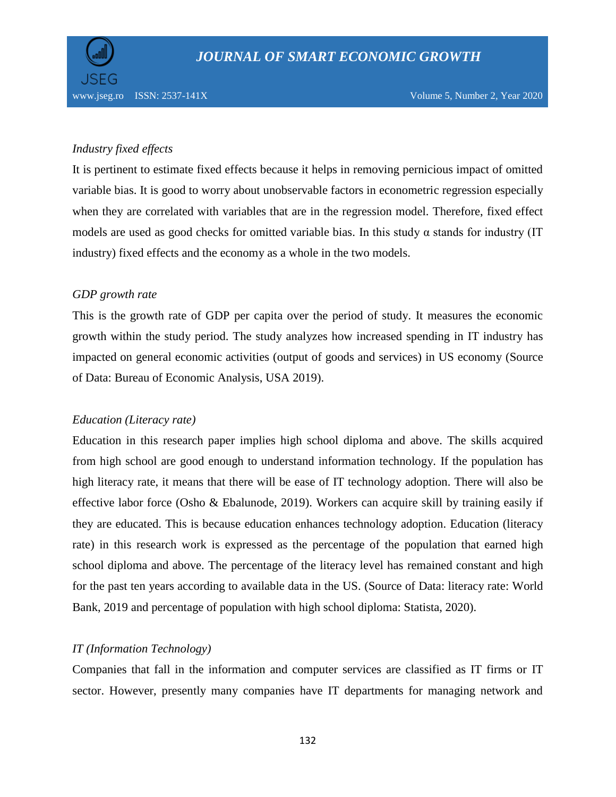

# *Industry fixed effects*

It is pertinent to estimate fixed effects because it helps in removing pernicious impact of omitted variable bias. It is good to worry about unobservable factors in econometric regression especially when they are correlated with variables that are in the regression model. Therefore, fixed effect models are used as good checks for omitted variable bias. In this study  $\alpha$  stands for industry (IT industry) fixed effects and the economy as a whole in the two models.

# *GDP growth rate*

This is the growth rate of GDP per capita over the period of study. It measures the economic growth within the study period. The study analyzes how increased spending in IT industry has impacted on general economic activities (output of goods and services) in US economy (Source of Data: Bureau of Economic Analysis, USA 2019).

# *Education (Literacy rate)*

Education in this research paper implies high school diploma and above. The skills acquired from high school are good enough to understand information technology. If the population has high literacy rate, it means that there will be ease of IT technology adoption. There will also be effective labor force (Osho & Ebalunode, 2019). Workers can acquire skill by training easily if they are educated. This is because education enhances technology adoption. Education (literacy rate) in this research work is expressed as the percentage of the population that earned high school diploma and above. The percentage of the literacy level has remained constant and high for the past ten years according to available data in the US. (Source of Data: literacy rate: World Bank, 2019 and percentage of population with high school diploma: Statista, 2020).

# *IT (Information Technology)*

Companies that fall in the information and computer services are classified as IT firms or IT sector. However, presently many companies have IT departments for managing network and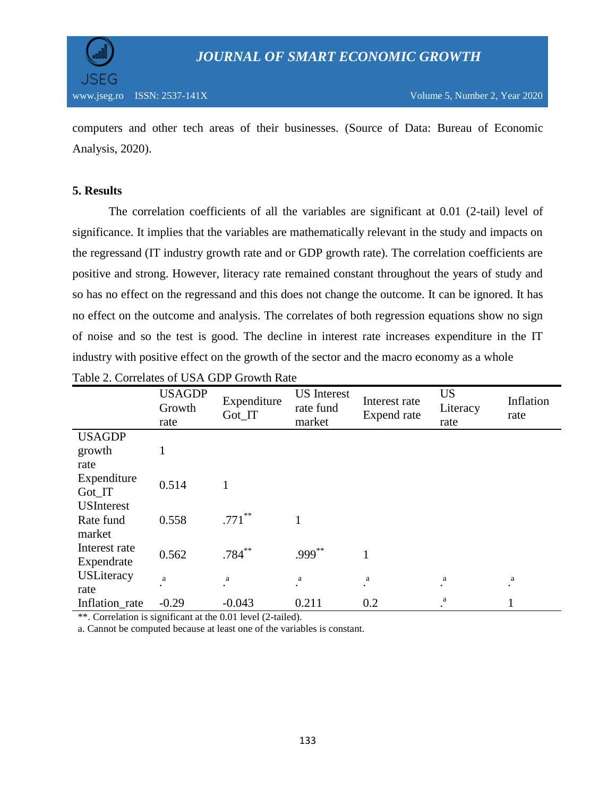

computers and other tech areas of their businesses. (Source of Data: Bureau of Economic Analysis, 2020).

# **5. Results**

The correlation coefficients of all the variables are significant at 0.01 (2-tail) level of significance. It implies that the variables are mathematically relevant in the study and impacts on the regressand (IT industry growth rate and or GDP growth rate). The correlation coefficients are positive and strong. However, literacy rate remained constant throughout the years of study and so has no effect on the regressand and this does not change the outcome. It can be ignored. It has no effect on the outcome and analysis. The correlates of both regression equations show no sign of noise and so the test is good. The decline in interest rate increases expenditure in the IT industry with positive effect on the growth of the sector and the macro economy as a whole

|                   | <b>USAGDP</b><br>Growth<br>rate | Expenditure<br>Got_IT | <b>US</b> Interest<br>rate fund<br>market | Interest rate<br>Expend rate | <b>US</b><br>Literacy<br>rate | Inflation<br>rate |
|-------------------|---------------------------------|-----------------------|-------------------------------------------|------------------------------|-------------------------------|-------------------|
| <b>USAGDP</b>     |                                 |                       |                                           |                              |                               |                   |
| growth            |                                 |                       |                                           |                              |                               |                   |
| rate              |                                 |                       |                                           |                              |                               |                   |
| Expenditure       | 0.514                           | 1                     |                                           |                              |                               |                   |
| Got_IT            |                                 |                       |                                           |                              |                               |                   |
| <b>USInterest</b> |                                 |                       |                                           |                              |                               |                   |
| Rate fund         | 0.558                           | $.771***$             |                                           |                              |                               |                   |
| market            |                                 |                       |                                           |                              |                               |                   |
| Interest rate     | 0.562                           | $.784***$             | $.999***$                                 | $\mathbf{1}$                 |                               |                   |
| Expendrate        |                                 |                       |                                           |                              |                               |                   |
| <b>USLiteracy</b> | $\rm{a}$                        | a                     | a                                         | a                            | a                             | a                 |
| rate              |                                 |                       |                                           | $\bullet$                    |                               |                   |
| Inflation_rate    | $-0.29$                         | $-0.043$              | 0.211                                     | 0.2                          | a                             |                   |

|  | Table 2. Correlates of USA GDP Growth Rate |  |  |  |  |  |
|--|--------------------------------------------|--|--|--|--|--|
|--|--------------------------------------------|--|--|--|--|--|

\*\*. Correlation is significant at the 0.01 level (2-tailed).

a. Cannot be computed because at least one of the variables is constant.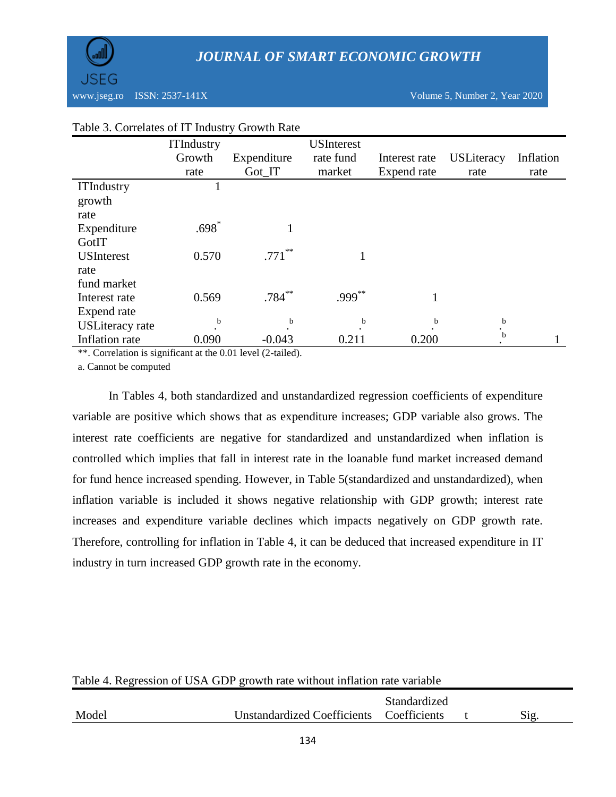|                        | <b>ITIndustry</b> |             | <b>USInterest</b> |               |                   |           |
|------------------------|-------------------|-------------|-------------------|---------------|-------------------|-----------|
|                        | Growth            | Expenditure | rate fund         | Interest rate | <b>USLiteracy</b> | Inflation |
|                        | rate              | Got_IT      | market            | Expend rate   | rate              | rate      |
| <b>ITIndustry</b>      |                   |             |                   |               |                   |           |
| growth                 |                   |             |                   |               |                   |           |
| rate                   |                   |             |                   |               |                   |           |
| Expenditure            | $.698*$           |             |                   |               |                   |           |
| GotIT                  |                   |             |                   |               |                   |           |
| <b>USInterest</b>      | 0.570             | $.771$ **   |                   |               |                   |           |
| rate                   |                   |             |                   |               |                   |           |
| fund market            |                   |             |                   |               |                   |           |
| Interest rate          | 0.569             | $.784***$   | $.999***$         |               |                   |           |
| Expend rate            |                   |             |                   |               |                   |           |
| <b>USLiteracy</b> rate | b                 | b           | b                 | b             | $\mathbf b$       |           |
| Inflation rate         | 0.090             | $-0.043$    | 0.211             | 0.200         | b                 |           |

# Table 3. Correlates of IT Industry Growth Rate

\*\*. Correlation is significant at the 0.01 level (2-tailed).

a. Cannot be computed

In Tables 4, both standardized and unstandardized regression coefficients of expenditure variable are positive which shows that as expenditure increases; GDP variable also grows. The interest rate coefficients are negative for standardized and unstandardized when inflation is controlled which implies that fall in interest rate in the loanable fund market increased demand for fund hence increased spending. However, in Table 5(standardized and unstandardized), when inflation variable is included it shows negative relationship with GDP growth; interest rate increases and expenditure variable declines which impacts negatively on GDP growth rate. Therefore, controlling for inflation in Table 4, it can be deduced that increased expenditure in IT industry in turn increased GDP growth rate in the economy.

| Table 4. Regression of USA GDP growth rate without inflation rate variable |                                          |                     |  |      |  |  |
|----------------------------------------------------------------------------|------------------------------------------|---------------------|--|------|--|--|
|                                                                            |                                          | <b>Standardized</b> |  |      |  |  |
| Model                                                                      | Unstandardized Coefficients Coefficients |                     |  | Sig. |  |  |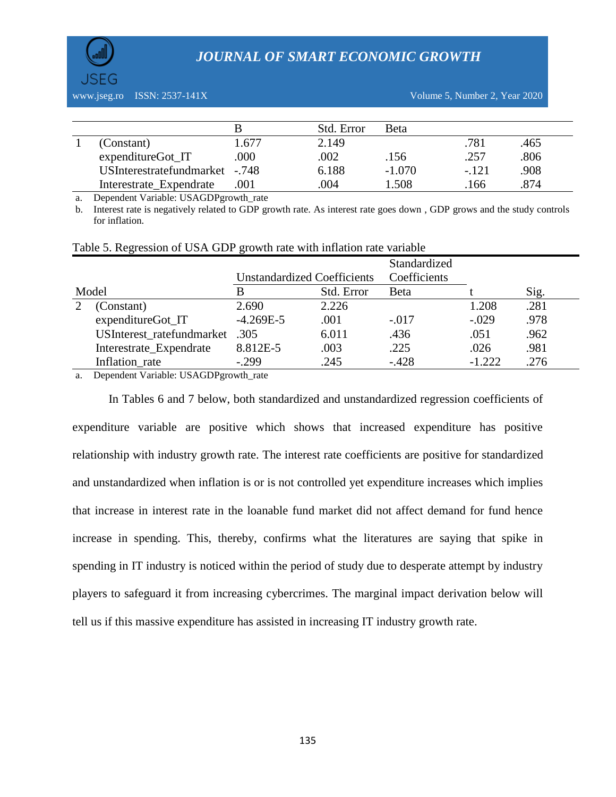



|                                |       | Std. Error | <b>B</b> eta |         |      |
|--------------------------------|-------|------------|--------------|---------|------|
| (Constant)                     | 1.677 | 2.149      |              | .781    | .465 |
| expenditureGot_IT              | .000  | .002       | .156         | .257    | .806 |
| USInterestratefundmarket -.748 |       | 6.188      | $-1.070$     | $-.121$ | .908 |
| Interestrate_Expendrate        | .001  | .004       | 1.508        | 166     | 874  |

a. Dependent Variable: USAGDPgrowth\_rate

b. Interest rate is negatively related to GDP growth rate. As interest rate goes down , GDP grows and the study controls for inflation.

|                           | <b>Unstandardized Coefficients</b> |            | Standardized<br>Coefficients |          |      |
|---------------------------|------------------------------------|------------|------------------------------|----------|------|
| Model                     | В                                  | Std. Error | <b>Beta</b>                  |          | Sig. |
| (Constant)                | 2.690                              | 2.226      |                              | 1.208    | .281 |
| expenditureGot_IT         | $-4.269E-5$                        | .001       | $-.017$                      | $-.029$  | .978 |
| USInterest ratefundmarket | .305                               | 6.011      | .436                         | .051     | .962 |
| Interestrate_Expendrate   | 8.812E-5                           | .003       | .225                         | .026     | .981 |
| Inflation rate            | $-.299$                            | .245       | $-.428$                      | $-1.222$ | .276 |

#### Table 5. Regression of USA GDP growth rate with inflation rate variable

a. Dependent Variable: USAGDPgrowth\_rate

In Tables 6 and 7 below, both standardized and unstandardized regression coefficients of expenditure variable are positive which shows that increased expenditure has positive relationship with industry growth rate. The interest rate coefficients are positive for standardized and unstandardized when inflation is or is not controlled yet expenditure increases which implies that increase in interest rate in the loanable fund market did not affect demand for fund hence increase in spending. This, thereby, confirms what the literatures are saying that spike in spending in IT industry is noticed within the period of study due to desperate attempt by industry players to safeguard it from increasing cybercrimes. The marginal impact derivation below will tell us if this massive expenditure has assisted in increasing IT industry growth rate.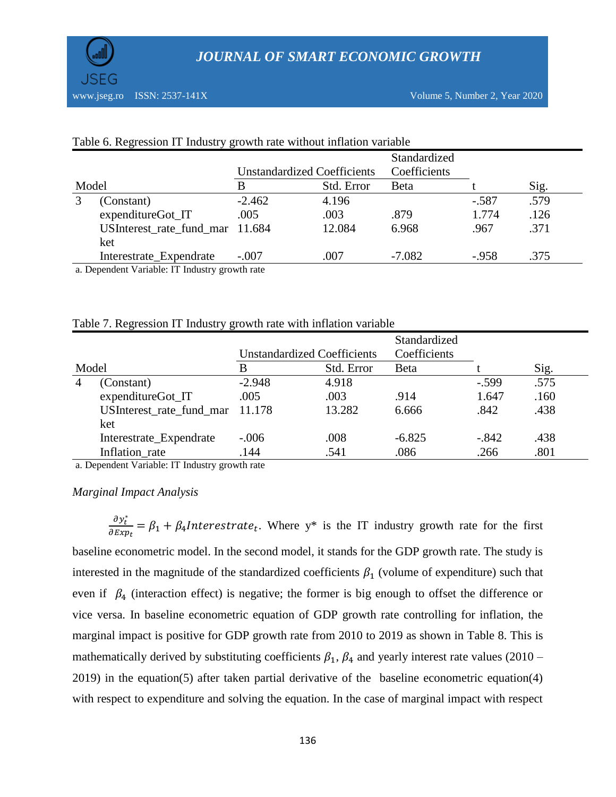

|       |                                 |          | <b>Unstandardized Coefficients</b> | Standardized<br>Coefficients |         |      |
|-------|---------------------------------|----------|------------------------------------|------------------------------|---------|------|
| Model |                                 | В        | Std. Error                         | <b>B</b> eta                 |         | Sig. |
|       | (Constant)                      | $-2.462$ | 4.196                              |                              | $-.587$ | .579 |
|       | expenditureGot_IT               | .005     | .003                               | .879                         | 1.774   | .126 |
|       | USInterest_rate_fund_mar 11.684 |          | 12.084                             | 6.968                        | .967    | .371 |
|       | ket                             |          |                                    |                              |         |      |
|       | Interestrate_Expendrate         | $-.007$  | .007                               | $-7.082$                     | $-.958$ | .375 |

#### Table 6. Regression IT Industry growth rate without inflation variable

a. Dependent Variable: IT Industry growth rate

#### Table 7. Regression IT Industry growth rate with inflation variable

|                          |          |            | Standardized                       |         |      |
|--------------------------|----------|------------|------------------------------------|---------|------|
|                          |          |            | Coefficients                       |         |      |
|                          | B        | Std. Error | Beta                               |         | Sig. |
| (Constant)               | $-2.948$ | 4.918      |                                    | $-.599$ | .575 |
| expenditureGot_IT        | .005     | .003       | .914                               | 1.647   | .160 |
| USInterest rate fund mar |          | 13.282     | 6.666                              | .842    | .438 |
| ket                      |          |            |                                    |         |      |
| Interestrate_Expendrate  | $-.006$  | .008       | $-6.825$                           | $-.842$ | .438 |
| Inflation rate           | 144      | .541       | .086                               | .266    | .801 |
|                          |          | 11.178     | <b>Unstandardized Coefficients</b> |         |      |

a. Dependent Variable: IT Industry growth rate

#### *Marginal Impact Analysis*

$$
\frac{\partial y_t^*}{\partial Exp_t} = \beta_1 + \beta_4
$$
Interestimate<sub>t</sub>. Where  $y^*$  is the IT industry growth rate for the first

baseline econometric model. In the second model, it stands for the GDP growth rate. The study is interested in the magnitude of the standardized coefficients  $\beta_1$  (volume of expenditure) such that even if  $\beta_4$  (interaction effect) is negative; the former is big enough to offset the difference or vice versa. In baseline econometric equation of GDP growth rate controlling for inflation, the marginal impact is positive for GDP growth rate from 2010 to 2019 as shown in Table 8. This is mathematically derived by substituting coefficients  $\beta_1$ ,  $\beta_4$  and yearly interest rate values (2010 – 2019) in the equation(5) after taken partial derivative of the baseline econometric equation(4) with respect to expenditure and solving the equation. In the case of marginal impact with respect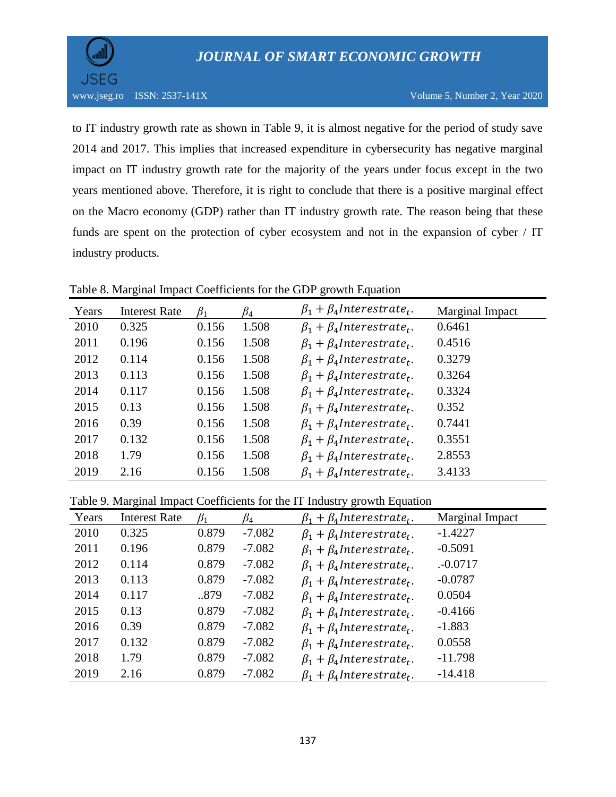

to IT industry growth rate as shown in Table 9, it is almost negative for the period of study save 2014 and 2017. This implies that increased expenditure in cybersecurity has negative marginal impact on IT industry growth rate for the majority of the years under focus except in the two years mentioned above. Therefore, it is right to conclude that there is a positive marginal effect on the Macro economy (GDP) rather than IT industry growth rate. The reason being that these funds are spent on the protection of cyber ecosystem and not in the expansion of cyber / IT industry products.

# Table 8. Marginal Impact Coefficients for the GDP growth Equation

| Years | <b>Interest Rate</b> | $\beta_1$ | $\beta_4$ | $\beta_1 + \beta_4$ Interestrate <sub>t</sub> . | Marginal Impact |
|-------|----------------------|-----------|-----------|-------------------------------------------------|-----------------|
| 2010  | 0.325                | 0.156     | 1.508     | $\beta_1 + \beta_4$ Interestrate <sub>t</sub> . | 0.6461          |
| 2011  | 0.196                | 0.156     | 1.508     | $\beta_1 + \beta_4$ Interestrate <sub>t</sub> . | 0.4516          |
| 2012  | 0.114                | 0.156     | 1.508     | $\beta_1 + \beta_4$ Interestrate <sub>t</sub> . | 0.3279          |
| 2013  | 0.113                | 0.156     | 1.508     | $\beta_1 + \beta_4$ Interestrate <sub>t</sub> . | 0.3264          |
| 2014  | 0.117                | 0.156     | 1.508     | $\beta_1 + \beta_4$ Interestrate <sub>t</sub> . | 0.3324          |
| 2015  | 0.13                 | 0.156     | 1.508     | $\beta_1 + \beta_4$ Interestrate <sub>t</sub> . | 0.352           |
| 2016  | 0.39                 | 0.156     | 1.508     | $\beta_1 + \beta_4$ Interestrate <sub>t</sub> . | 0.7441          |
| 2017  | 0.132                | 0.156     | 1.508     | $\beta_1 + \beta_4$ Interestrate <sub>t</sub> . | 0.3551          |
| 2018  | 1.79                 | 0.156     | 1.508     | $\beta_1 + \beta_4$ Interestrate <sub>t</sub> . | 2.8553          |
| 2019  | 2.16                 | 0.156     | 1.508     | $\beta_1 + \beta_4$ Interestrate <sub>t</sub> . | 3.4133          |

Table 9. Marginal Impact Coefficients for the IT Industry growth Equation

| Years | <b>Interest Rate</b> | $\beta_1$ | $\mathcal{B}_4$ | $\beta_1 + \beta_4$ Interestrate <sub>t</sub> . | Marginal Impact |
|-------|----------------------|-----------|-----------------|-------------------------------------------------|-----------------|
| 2010  | 0.325                | 0.879     | $-7.082$        | $\beta_1 + \beta_4$ Interestrate <sub>t</sub> . | $-1.4227$       |
| 2011  | 0.196                | 0.879     | $-7.082$        | $\beta_1 + \beta_4$ Interestrate <sub>t</sub> . | $-0.5091$       |
| 2012  | 0.114                | 0.879     | $-7.082$        | $\beta_1 + \beta_4$ Interestrate <sub>t</sub> . | $. -0.0717$     |
| 2013  | 0.113                | 0.879     | $-7.082$        | $\beta_1 + \beta_4$ Interestrate <sub>t</sub> . | $-0.0787$       |
| 2014  | 0.117                | 879       | $-7.082$        | $\beta_1 + \beta_4$ Interestrate <sub>t</sub> . | 0.0504          |
| 2015  | 0.13                 | 0.879     | $-7.082$        | $\beta_1 + \beta_4$ Interestrate <sub>t</sub> . | $-0.4166$       |
| 2016  | 0.39                 | 0.879     | $-7.082$        | $\beta_1 + \beta_4$ Interestrate <sub>t</sub> . | $-1.883$        |
| 2017  | 0.132                | 0.879     | $-7.082$        | $\beta_1 + \beta_4$ Interestrate <sub>t</sub> . | 0.0558          |
| 2018  | 1.79                 | 0.879     | $-7.082$        | $\beta_1 + \beta_4$ Interestrate <sub>t</sub> . | $-11.798$       |
| 2019  | 2.16                 | 0.879     | $-7.082$        | $\beta_1 + \beta_4$ Interestrate <sub>t</sub> . | $-14.418$       |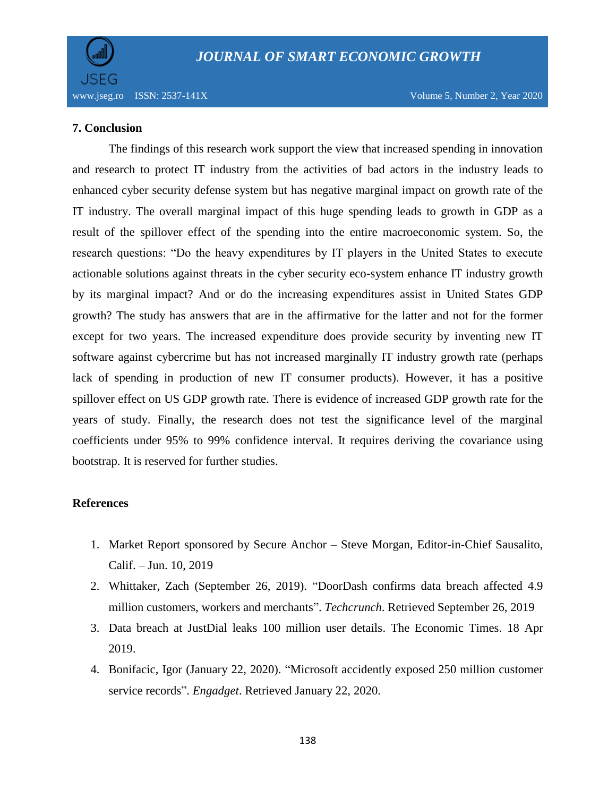

# **7. Conclusion**

The findings of this research work support the view that increased spending in innovation and research to protect IT industry from the activities of bad actors in the industry leads to enhanced cyber security defense system but has negative marginal impact on growth rate of the IT industry. The overall marginal impact of this huge spending leads to growth in GDP as a result of the spillover effect of the spending into the entire macroeconomic system. So, the research questions: "Do the heavy expenditures by IT players in the United States to execute actionable solutions against threats in the cyber security eco-system enhance IT industry growth by its marginal impact? And or do the increasing expenditures assist in United States GDP growth? The study has answers that are in the affirmative for the latter and not for the former except for two years. The increased expenditure does provide security by inventing new IT software against cybercrime but has not increased marginally IT industry growth rate (perhaps lack of spending in production of new IT consumer products). However, it has a positive spillover effect on US GDP growth rate. There is evidence of increased GDP growth rate for the years of study. Finally, the research does not test the significance level of the marginal coefficients under 95% to 99% confidence interval. It requires deriving the covariance using bootstrap. It is reserved for further studies.

# **References**

- 1. Market Report sponsored by [Secure Anchor](https://www.secure-anchor.com/) [Steve Morgan,](http://www.cybersecurityventures.com/our-team) Editor-in-Chief Sausalito, Calif. – Jun. 10, 2019
- 2. Whittaker, Zach (September 26, 2019). ["DoorDash confirms data breach affected 4.9](https://techcrunch.com/2019/09/26/doordash-data-breach/)  [million customers, workers and merchants"](https://techcrunch.com/2019/09/26/doordash-data-breach/). *[Techcrunch](https://en.wikipedia.org/wiki/Techcrunch)*. Retrieved September 26, 2019
- 3. [Data breach at JustDial leaks 100 million user details.](https://economictimes.indiatimes.com/tech/internet/data-breach-at-justdial-leaks-100-million-user-details/articleshow/68930607.cms) The Economic Times. 18 Apr 2019.
- 4. Bonifacic, Igor (January 22, 2020). ["Microsoft accidently exposed 250 million customer](https://www.engadget.com/2020/01/22/microsoft-database-exposure/)  [service records".](https://www.engadget.com/2020/01/22/microsoft-database-exposure/) *[Engadget](https://en.wikipedia.org/wiki/Engadget)*. Retrieved January 22, 2020.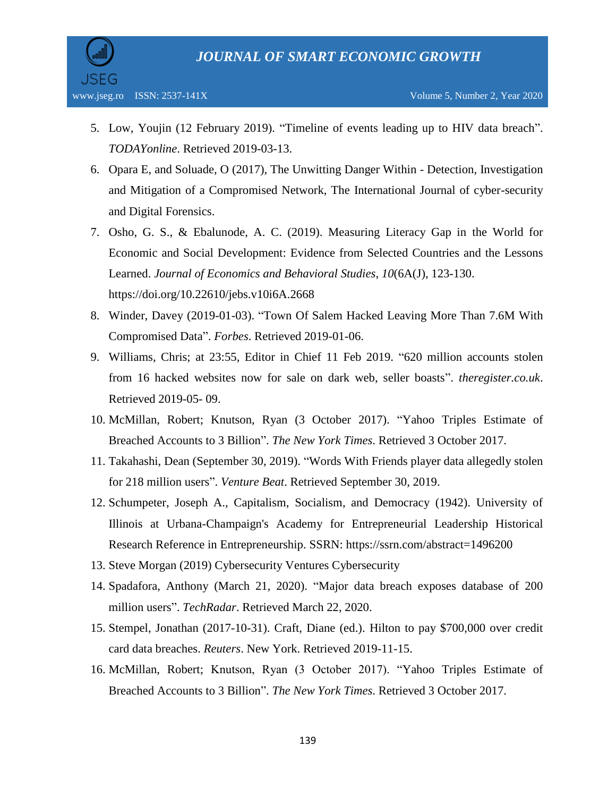

- 5. Low, Youjin (12 February 2019). ["Timeline of events leading up to HIV data breach".](https://www.todayonline.com/singapore/hiv-data-leak-timeline-events) *TODAYonline*. Retrieved 2019-03-13.
- 6. Opara E, and Soluade, O (2017), The Unwitting Danger Within Detection, Investigation and Mitigation of a Compromised Network, The International Journal of cyber-security and Digital Forensics.
- 7. Osho, G. S., & Ebalunode, A. C. (2019). Measuring Literacy Gap in the World for Economic and Social Development: Evidence from Selected Countries and the Lessons Learned. *Journal of Economics and Behavioral Studies*, *10*(6A(J), 123-130. https://doi.org/10.22610/jebs.v10i6A.2668
- 8. Winder, Davey (2019-01-03). ["Town Of Salem Hacked Leaving More Than 7.6M With](https://www.forbes.com/sites/daveywinder/2019/01/03/town-of-salem-hacked-leaving-more-than-7-6m-with-compromised-data/#66a625f730d3)  [Compromised Data".](https://www.forbes.com/sites/daveywinder/2019/01/03/town-of-salem-hacked-leaving-more-than-7-6m-with-compromised-data/#66a625f730d3) *Forbes*. Retrieved 2019-01-06.
- 9. Williams, Chris; at 23:55, Editor in Chief 11 Feb 2019. ["620 million accounts stolen](https://www.theregister.co.uk/2019/02/11/620_million_hacked_accounts_dark_web/)  [from 16 hacked websites now for sale on dark web, seller boasts".](https://www.theregister.co.uk/2019/02/11/620_million_hacked_accounts_dark_web/) *theregister.co.uk*. Retrieved 2019-05- 09.
- 10. McMillan, Robert; Knutson, Ryan (3 October 2017). ["Yahoo Triples Estimate of](https://www.nytimes.com/2017/10/03/technology/yahoo-hack-3-billion-users.html)  [Breached Accounts to 3 Billion".](https://www.nytimes.com/2017/10/03/technology/yahoo-hack-3-billion-users.html) *[The New York Times](https://en.wikipedia.org/wiki/The_New_York_Times)*. Retrieved 3 October 2017.
- 11. Takahashi, Dean (September 30, 2019). ["Words With Friends player data allegedly stolen](https://venturebeat.com/2019/09/30/words-with-friends-player-data-allegedly-stolen-for-218-million-users/)  [for 218 million users"](https://venturebeat.com/2019/09/30/words-with-friends-player-data-allegedly-stolen-for-218-million-users/). *[Venture Beat](https://en.wikipedia.org/wiki/Venture_Beat)*. Retrieved September 30, 2019.
- 12. Schumpeter, Joseph A., Capitalism, Socialism, and Democracy (1942). University of Illinois at Urbana-Champaign's Academy for Entrepreneurial Leadership Historical Research Reference in Entrepreneurship. SSRN:<https://ssrn.com/abstract=1496200>
- 13. Steve Morgan (2019) Cybersecurity Ventures Cybersecurity
- 14. Spadafora, Anthony (March 21, 2020). ["Major data breach exposes database of 200](https://www.techradar.com/news/major-data-breach-exposes-database-of-200-million-users)  [million users".](https://www.techradar.com/news/major-data-breach-exposes-database-of-200-million-users) *[TechRadar](https://en.wikipedia.org/wiki/TechRadar)*. Retrieved March 22, 2020.
- 15. Stempel, Jonathan (2017-10-31). Craft, Diane (ed.). [Hilton to pay \\$700,000 over credit](https://www.reuters.com/article/us-hilton-wrldwide-settlement/hilton-to-pay-700000-over-credit-card-data-breaches-idUSKBN1D02L3)  [card data breaches.](https://www.reuters.com/article/us-hilton-wrldwide-settlement/hilton-to-pay-700000-over-credit-card-data-breaches-idUSKBN1D02L3) *Reuters*. New York. Retrieved 2019-11-15.
- 16. McMillan, Robert; Knutson, Ryan (3 October 2017). ["Yahoo Triples Estimate of](https://www.nytimes.com/2017/10/03/technology/yahoo-hack-3-billion-users.html)  [Breached Accounts to 3 Billion".](https://www.nytimes.com/2017/10/03/technology/yahoo-hack-3-billion-users.html) *[The New York Times](https://en.wikipedia.org/wiki/The_New_York_Times)*. Retrieved 3 October 2017.